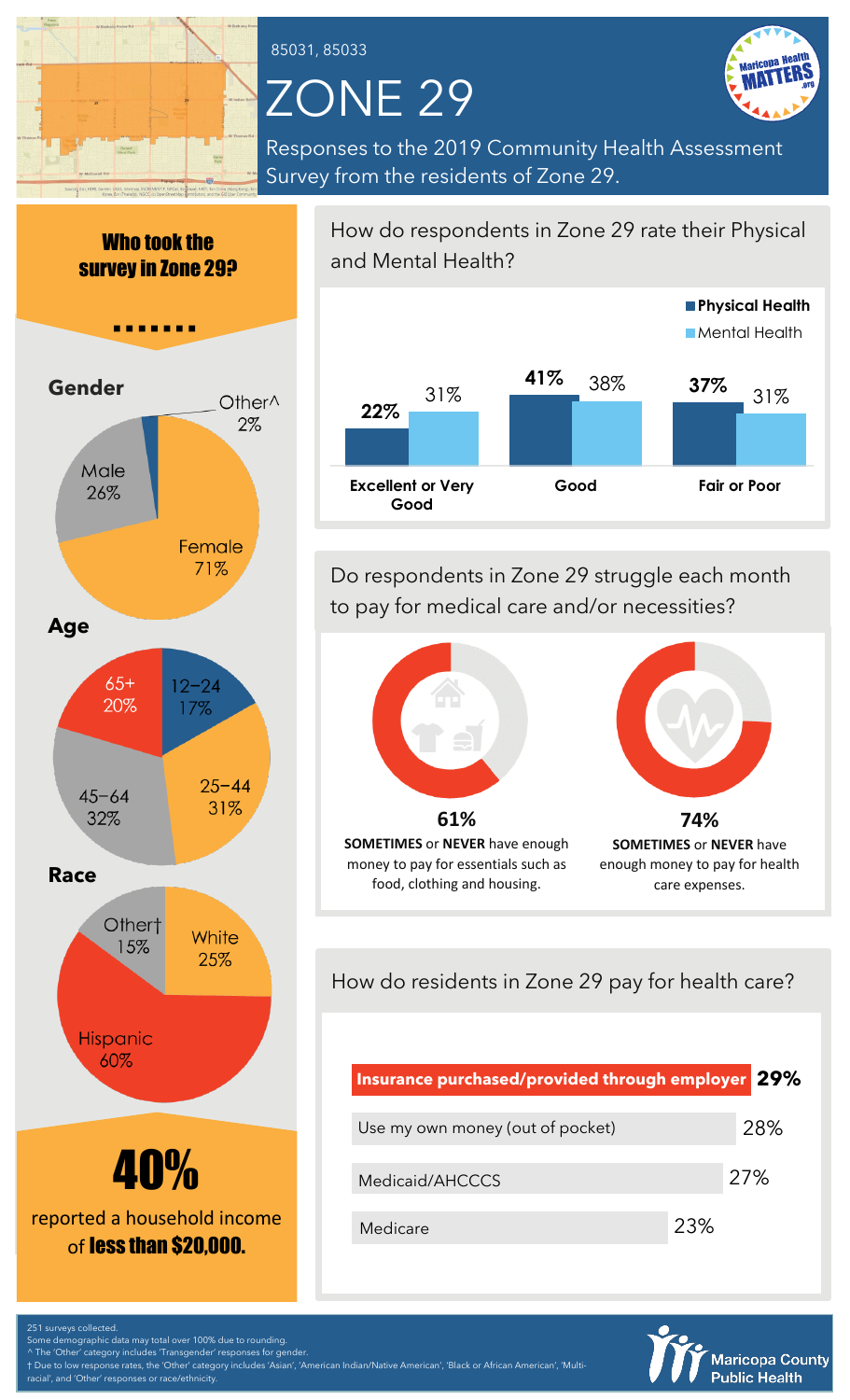### 85031, 85033

# ZONE 29



Responses to the 2019 Community Health Assessment Survey from the residents of Zone 29.





How do respondents in Zone 29 rate their Physical and Mental Health?



Do respondents in Zone 29 struggle each month to pay for medical care and/or necessities?



How do residents in Zone 29 pay for health care?

| Insurance purchased/provided through employer 29% |     |     |
|---------------------------------------------------|-----|-----|
| Use my own money (out of pocket)                  |     | 28% |
| Medicaid/AHCCCS                                   |     | 27% |
| Medicare                                          | 23% |     |



251 surveys collected.  $\overline{\phantom{a}}$ me demographic data may total over  $\overline{\phantom{a}}$  100% due to rounding The 'Other' category includes 'Transgender' responses for gender

† Due to low response rates, the 'Other' category includes 'Asian', 'American Indian/Native American', 'Black or African American', 'Multi-', and 'Other' responses or race/ethnicity